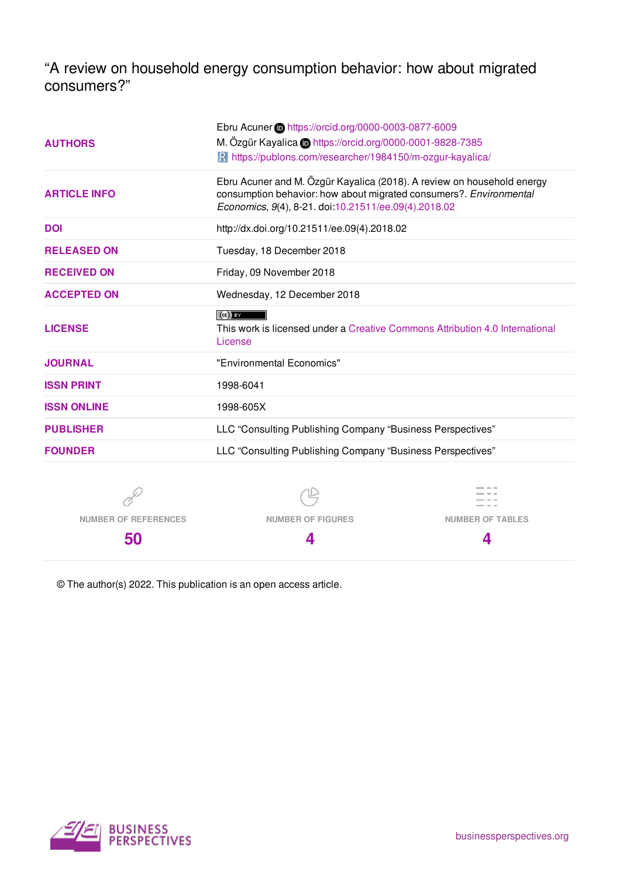"A review on household energy consumption behavior: how about migrated consumers?"

| <b>AUTHORS</b>              | Ebru Acuner in https://orcid.org/0000-0003-0877-6009<br>M. Özgür Kayalica in https://orcid.org/0000-0001-9828-7385                                                                                   |                         |  |
|-----------------------------|------------------------------------------------------------------------------------------------------------------------------------------------------------------------------------------------------|-------------------------|--|
|                             | R https://publons.com/researcher/1984150/m-ozgur-kayalica/                                                                                                                                           |                         |  |
| <b>ARTICLE INFO</b>         | Ebru Acuner and M. Özgür Kayalica (2018). A review on household energy<br>consumption behavior: how about migrated consumers?. Environmental<br>Economics, 9(4), 8-21. doi:10.21511/ee.09(4).2018.02 |                         |  |
| <b>DOI</b>                  | http://dx.doi.org/10.21511/ee.09(4).2018.02                                                                                                                                                          |                         |  |
| <b>RELEASED ON</b>          | Tuesday, 18 December 2018                                                                                                                                                                            |                         |  |
| <b>RECEIVED ON</b>          | Friday, 09 November 2018                                                                                                                                                                             |                         |  |
| <b>ACCEPTED ON</b>          | Wednesday, 12 December 2018                                                                                                                                                                          |                         |  |
| <b>LICENSE</b>              | $(cc)$ by<br>This work is licensed under a Creative Commons Attribution 4.0 International<br>License                                                                                                 |                         |  |
| <b>JOURNAL</b>              | "Environmental Economics"                                                                                                                                                                            |                         |  |
| <b>ISSN PRINT</b>           | 1998-6041                                                                                                                                                                                            |                         |  |
| <b>ISSN ONLINE</b>          | 1998-605X                                                                                                                                                                                            |                         |  |
| <b>PUBLISHER</b>            | LLC "Consulting Publishing Company "Business Perspectives"                                                                                                                                           |                         |  |
| <b>FOUNDER</b>              | LLC "Consulting Publishing Company "Business Perspectives"                                                                                                                                           |                         |  |
|                             |                                                                                                                                                                                                      |                         |  |
| <b>NUMBER OF REFERENCES</b> | <b>NUMBER OF FIGURES</b>                                                                                                                                                                             | <b>NUMBER OF TABLES</b> |  |

**4**

© The author(s) 2022. This publication is an open access article.



**50**

**4**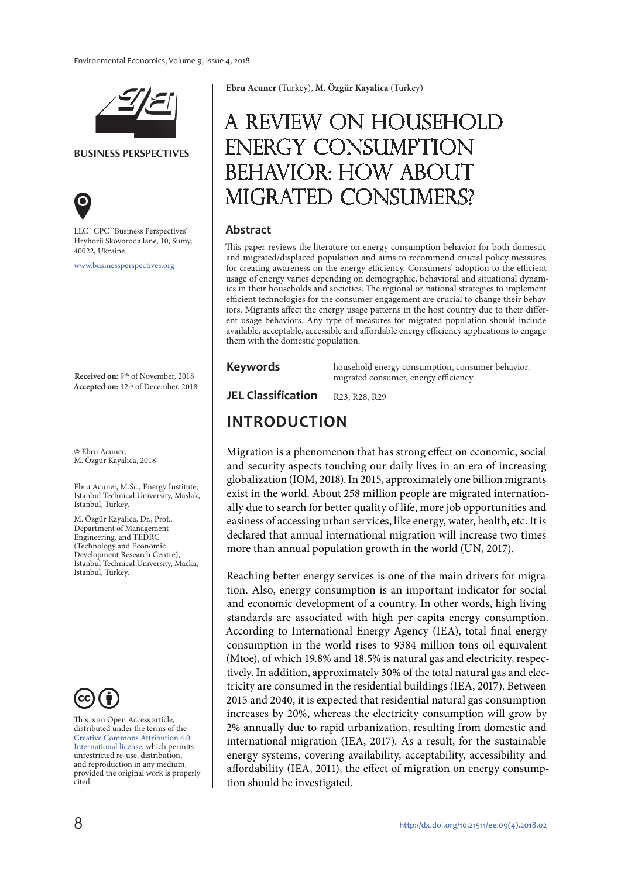

**BUSINESS PERSPECTIVES**



LLC "СPС "Business Perspectives" Hryhorii Skovoroda lane, 10, Sumy, 40022, Ukraine

www.businessperspectives.org

**Received on:** 9th of November, 2018 **Accepted on:** 12th of December, 2018

© Ebru Acuner, M. Özgür Kayalica, 2018

Ebru Acuner, M.Sc., Energy Institute, Istanbul Technical University, Maslak, Istanbul, Turkey.

M. Özgür Kayalica, Dr., Prof., Department of Management Engineering, and TEDRC (Technology and Economic Development Research Centre), Istanbul Technical University, Macka, Istanbul, Turkey.



This is an Open Access article, distributed under the terms of the Creative Commons Attribution 4.0 International license, which permits unrestricted re-use, distribution, and reproduction in any medium, provided the original work is properly cited.

**Ebru Acuner** (Turkey), **M. Özgür Kayalica** (Turkey)

# A review on household energy consumption behavior: how about migrated consumers?

#### **Abstract**

This paper reviews the literature on energy consumption behavior for both domestic and migrated/displaced population and aims to recommend crucial policy measures for creating awareness on the energy efficiency. Consumers' adoption to the efficient usage of energy varies depending on demographic, behavioral and situational dynamics in their households and societies. The regional or national strategies to implement efficient technologies for the consumer engagement are crucial to change their behaviors. Migrants affect the energy usage patterns in the host country due to their different usage behaviors. Any type of measures for migrated population should include available, acceptable, accessible and affordable energy efficiency applications to engage them with the domestic population.

#### **Keywords**

household energy consumption, consumer behavior, migrated consumer, energy efficiency

JEL Classification R23, R28, R29

# **INTRODUCTION**

Migration is a phenomenon that has strong effect on economic, social and security aspects touching our daily lives in an era of increasing globalization (IOM, 2018). In 2015, approximately one billion migrants exist in the world. About 258 million people are migrated internationally due to search for better quality of life, more job opportunities and easiness of accessing urban services, like energy, water, health, etc. It is declared that annual international migration will increase two times more than annual population growth in the world (UN, 2017).

Reaching better energy services is one of the main drivers for migration. Also, energy consumption is an important indicator for social and economic development of a country. In other words, high living standards are associated with high per capita energy consumption. According to International Energy Agency (IEA), total final energy consumption in the world rises to 9384 million tons oil equivalent (Mtoe), of which 19.8% and 18.5% is natural gas and electricity, respectively. In addition, approximately 30% of the total natural gas and electricity are consumed in the residential buildings (IEA, 2017). Between 2015 and 2040, it is expected that residential natural gas consumption increases by 20%, whereas the electricity consumption will grow by 2% annually due to rapid urbanization, resulting from domestic and international migration (IEA, 2017). As a result, for the sustainable energy systems, covering availability, acceptability, accessibility and affordability (IEA, 2011), the effect of migration on energy consumption should be investigated.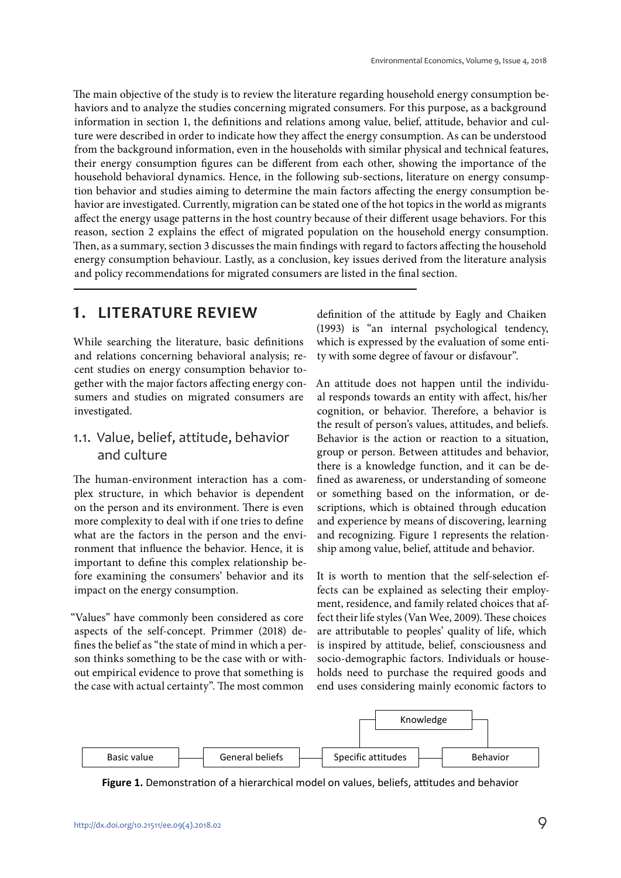The main objective of the study is to review the literature regarding household energy consumption behaviors and to analyze the studies concerning migrated consumers. For this purpose, as a background information in section 1, the definitions and relations among value, belief, attitude, behavior and culture were described in order to indicate how they affect the energy consumption. As can be understood from the background information, even in the households with similar physical and technical features, their energy consumption figures can be different from each other, showing the importance of the household behavioral dynamics. Hence, in the following sub-sections, literature on energy consumption behavior and studies aiming to determine the main factors affecting the energy consumption behavior are investigated. Currently, migration can be stated one of the hot topics in the world as migrants affect the energy usage patterns in the host country because of their different usage behaviors. For this reason, section 2 explains the effect of migrated population on the household energy consumption. Then, as a summary, section 3 discusses the main findings with regard to factors affecting the household energy consumption behaviour. Lastly, as a conclusion, key issues derived from the literature analysis and policy recommendations for migrated consumers are listed in the final section.

### **1. LITERATURE REVIEW**

While searching the literature, basic definitions and relations concerning behavioral analysis; recent studies on energy consumption behavior together with the major factors affecting energy consumers and studies on migrated consumers are investigated.

### 1.1. Value, belief, attitude, behavior and culture

The human-environment interaction has a complex structure, in which behavior is dependent on the person and its environment. There is even more complexity to deal with if one tries to define what are the factors in the person and the environment that influence the behavior. Hence, it is important to define this complex relationship before examining the consumers' behavior and its impact on the energy consumption.

"Values" have commonly been considered as core aspects of the self-concept. Primmer (2018) defines the belief as "the state of mind in which a person thinks something to be the case with or without empirical evidence to prove that something is the case with actual certainty". The most common

definition of the attitude by Eagly and Chaiken (1993) is "an internal psychological tendency, which is expressed by the evaluation of some entity with some degree of favour or disfavour".

An attitude does not happen until the individual responds towards an entity with affect, his/her cognition, or behavior. Therefore, a behavior is the result of person's values, attitudes, and beliefs. Behavior is the action or reaction to a situation, group or person. Between attitudes and behavior, there is a knowledge function, and it can be defined as awareness, or understanding of someone or something based on the information, or descriptions, which is obtained through education and experience by means of discovering, learning and recognizing. Figure 1 represents the relationship among value, belief, attitude and behavior.

It is worth to mention that the self-selection effects can be explained as selecting their employment, residence, and family related choices that affect their life styles (Van Wee, 2009). These choices are attributable to peoples' quality of life, which is inspired by attitude, belief, consciousness and socio-demographic factors. Individuals or households need to purchase the required goods and end uses considering mainly economic factors to



**Figure 1.** Demonstration of a hierarchical model on values, beliefs, attitudes and behavior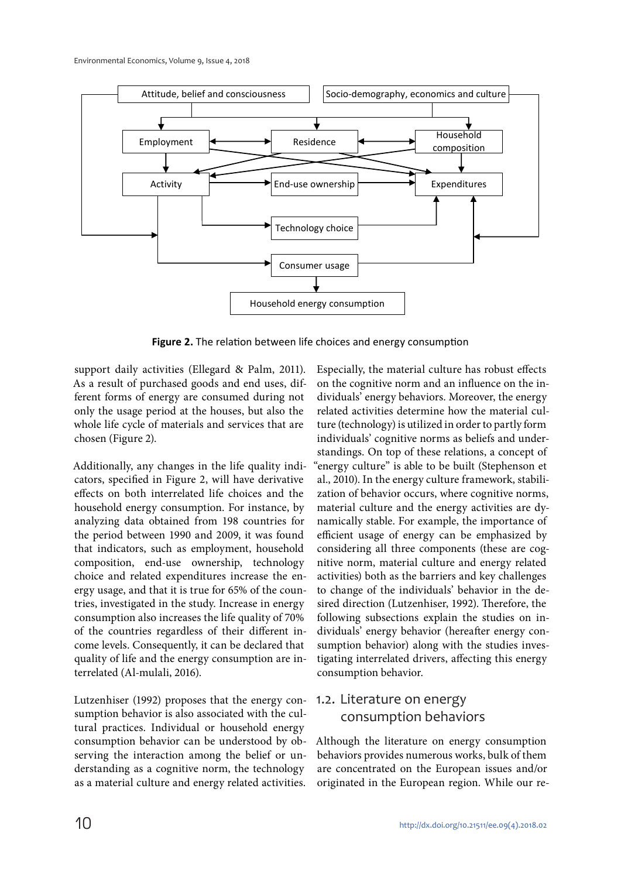

**Figure 2.** The relation between life choices and energy consumption

support daily activities (Ellegard & Palm, 2011). As a result of purchased goods and end uses, different forms of energy are consumed during not only the usage period at the houses, but also the whole life cycle of materials and services that are chosen (Figure 2).

Additionally, any changes in the life quality indicators, specified in Figure 2, will have derivative effects on both interrelated life choices and the household energy consumption. For instance, by analyzing data obtained from 198 countries for the period between 1990 and 2009, it was found that indicators, such as employment, household composition, end-use ownership, technology choice and related expenditures increase the energy usage, and that it is true for 65% of the countries, investigated in the study. Increase in energy consumption also increases the life quality of 70% of the countries regardless of their different income levels. Consequently, it can be declared that quality of life and the energy consumption are interrelated (Al-mulali, 2016).

Lutzenhiser (1992) proposes that the energy consumption behavior is also associated with the cultural practices. Individual or household energy consumption behavior can be understood by observing the interaction among the belief or understanding as a cognitive norm, the technology as a material culture and energy related activities.

Especially, the material culture has robust effects on the cognitive norm and an influence on the individuals' energy behaviors. Moreover, the energy related activities determine how the material culture (technology) is utilized in order to partly form individuals' cognitive norms as beliefs and understandings. On top of these relations, a concept of "energy culture" is able to be built (Stephenson et al., 2010). In the energy culture framework, stabilization of behavior occurs, where cognitive norms, material culture and the energy activities are dynamically stable. For example, the importance of efficient usage of energy can be emphasized by considering all three components (these are cognitive norm, material culture and energy related activities) both as the barriers and key challenges to change of the individuals' behavior in the desired direction (Lutzenhiser, 1992). Therefore, the following subsections explain the studies on individuals' energy behavior (hereafter energy consumption behavior) along with the studies investigating interrelated drivers, affecting this energy consumption behavior.

# 1.2. Literature on energy consumption behaviors

Although the literature on energy consumption behaviors provides numerous works, bulk of them are concentrated on the European issues and/or originated in the European region. While our re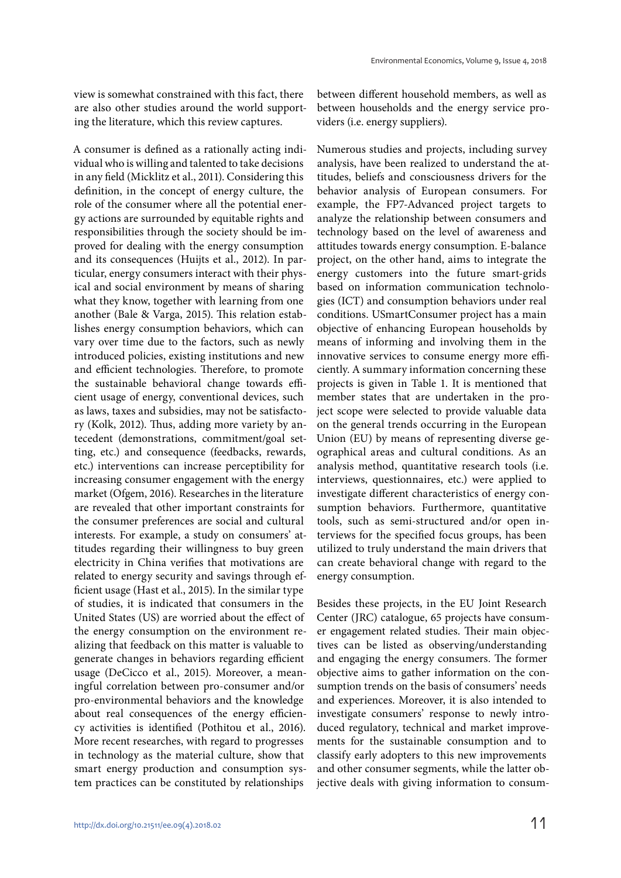view is somewhat constrained with this fact, there are also other studies around the world supporting the literature, which this review captures.

A consumer is defined as a rationally acting individual who is willing and talented to take decisions in any field (Micklitz et al., 2011). Considering this definition, in the concept of energy culture, the role of the consumer where all the potential energy actions are surrounded by equitable rights and responsibilities through the society should be improved for dealing with the energy consumption and its consequences (Huijts et al., 2012). In particular, energy consumers interact with their physical and social environment by means of sharing what they know, together with learning from one another (Bale & Varga, 2015). This relation establishes energy consumption behaviors, which can vary over time due to the factors, such as newly introduced policies, existing institutions and new and efficient technologies. Therefore, to promote the sustainable behavioral change towards efficient usage of energy, conventional devices, such as laws, taxes and subsidies, may not be satisfactory (Kolk, 2012). Thus, adding more variety by antecedent (demonstrations, commitment/goal setting, etc.) and consequence (feedbacks, rewards, etc.) interventions can increase perceptibility for increasing consumer engagement with the energy market (Ofgem, 2016). Researches in the literature are revealed that other important constraints for the consumer preferences are social and cultural interests. For example, a study on consumers' attitudes regarding their willingness to buy green electricity in China verifies that motivations are related to energy security and savings through efficient usage (Hast et al., 2015). In the similar type of studies, it is indicated that consumers in the United States (US) are worried about the effect of the energy consumption on the environment realizing that feedback on this matter is valuable to generate changes in behaviors regarding efficient usage (DeCicco et al., 2015). Moreover, a meaningful correlation between pro-consumer and/or pro-environmental behaviors and the knowledge about real consequences of the energy efficiency activities is identified (Pothitou et al., 2016). More recent researches, with regard to progresses in technology as the material culture, show that smart energy production and consumption system practices can be constituted by relationships

between different household members, as well as between households and the energy service providers (i.e. energy suppliers).

Numerous studies and projects, including survey analysis, have been realized to understand the attitudes, beliefs and consciousness drivers for the behavior analysis of European consumers. For example, the FP7-Advanced project targets to analyze the relationship between consumers and technology based on the level of awareness and attitudes towards energy consumption. E-balance project, on the other hand, aims to integrate the energy customers into the future smart-grids based on information communication technologies (ICT) and consumption behaviors under real conditions. USmartConsumer project has a main objective of enhancing European households by means of informing and involving them in the innovative services to consume energy more efficiently. A summary information concerning these projects is given in Table 1. It is mentioned that member states that are undertaken in the project scope were selected to provide valuable data on the general trends occurring in the European Union (EU) by means of representing diverse geographical areas and cultural conditions. As an analysis method, quantitative research tools (i.e. interviews, questionnaires, etc.) were applied to investigate different characteristics of energy consumption behaviors. Furthermore, quantitative tools, such as semi-structured and/or open interviews for the specified focus groups, has been utilized to truly understand the main drivers that can create behavioral change with regard to the energy consumption.

Besides these projects, in the EU Joint Research Center (JRC) catalogue, 65 projects have consumer engagement related studies. Their main objectives can be listed as observing/understanding and engaging the energy consumers. The former objective aims to gather information on the consumption trends on the basis of consumers' needs and experiences. Moreover, it is also intended to investigate consumers' response to newly introduced regulatory, technical and market improvements for the sustainable consumption and to classify early adopters to this new improvements and other consumer segments, while the latter objective deals with giving information to consum-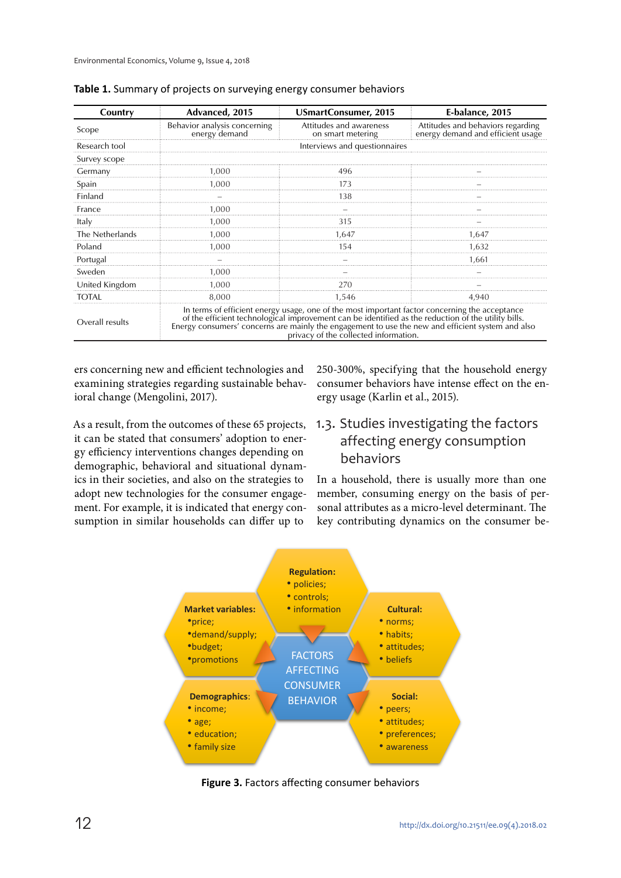| Country         | Advanced, 2015                                                                                                                                                                                                                                                                                                                                       | <b>USmartConsumer, 2015</b>                  | E-balance, 2015                                                        |  |
|-----------------|------------------------------------------------------------------------------------------------------------------------------------------------------------------------------------------------------------------------------------------------------------------------------------------------------------------------------------------------------|----------------------------------------------|------------------------------------------------------------------------|--|
| Scope           | Behavior analysis concerning<br>energy demand                                                                                                                                                                                                                                                                                                        | Attitudes and awareness<br>on smart metering | Attitudes and behaviors regarding<br>energy demand and efficient usage |  |
| Research tool   |                                                                                                                                                                                                                                                                                                                                                      | Interviews and questionnaires                |                                                                        |  |
| Survey scope    |                                                                                                                                                                                                                                                                                                                                                      |                                              |                                                                        |  |
| Germany         | 1.000                                                                                                                                                                                                                                                                                                                                                | 496                                          |                                                                        |  |
| Spain           | 1,000                                                                                                                                                                                                                                                                                                                                                | 173                                          |                                                                        |  |
| Finland         |                                                                                                                                                                                                                                                                                                                                                      | 138                                          |                                                                        |  |
| France          | 1,000                                                                                                                                                                                                                                                                                                                                                |                                              |                                                                        |  |
| Italy           | 1,000                                                                                                                                                                                                                                                                                                                                                | 315                                          |                                                                        |  |
| The Netherlands | 1,000                                                                                                                                                                                                                                                                                                                                                | 1.647                                        | 1.647                                                                  |  |
| Poland          | 1.000                                                                                                                                                                                                                                                                                                                                                | 154                                          | 1.632                                                                  |  |
| Portugal        |                                                                                                                                                                                                                                                                                                                                                      |                                              | 1.661                                                                  |  |
| Sweden          | 1.000                                                                                                                                                                                                                                                                                                                                                |                                              |                                                                        |  |
| United Kingdom  | 1,000                                                                                                                                                                                                                                                                                                                                                | 270                                          |                                                                        |  |
| <b>TOTAL</b>    | 8,000                                                                                                                                                                                                                                                                                                                                                | 1,546                                        | 4,940                                                                  |  |
| Overall results | In terms of efficient energy usage, one of the most important factor concerning the acceptance<br>of the efficient technological improvement can be identified as the reduction of the utility bills.<br>Energy consumers' concerns are mainly the engagement to use the new and efficient system' and also<br>privacy of the collected information. |                                              |                                                                        |  |

|  |  |  |  | Table 1. Summary of projects on surveying energy consumer behaviors |
|--|--|--|--|---------------------------------------------------------------------|
|--|--|--|--|---------------------------------------------------------------------|

ers concerning new and efficient technologies and examining strategies regarding sustainable behavioral change (Mengolini, 2017).

As a result, from the outcomes of these 65 projects, it can be stated that consumers' adoption to energy efficiency interventions changes depending on demographic, behavioral and situational dynamics in their societies, and also on the strategies to adopt new technologies for the consumer engagement. For example, it is indicated that energy consumption in similar households can differ up to

250-300%, specifying that the household energy consumer behaviors have intense effect on the energy usage (Karlin et al., 2015).

# 1.3. Studies investigating the factors affecting energy consumption behaviors

In a household, there is usually more than one member, consuming energy on the basis of personal attributes as a micro-level determinant. The key contributing dynamics on the consumer be-



**Figure 3.** Factors affecting consumer behaviors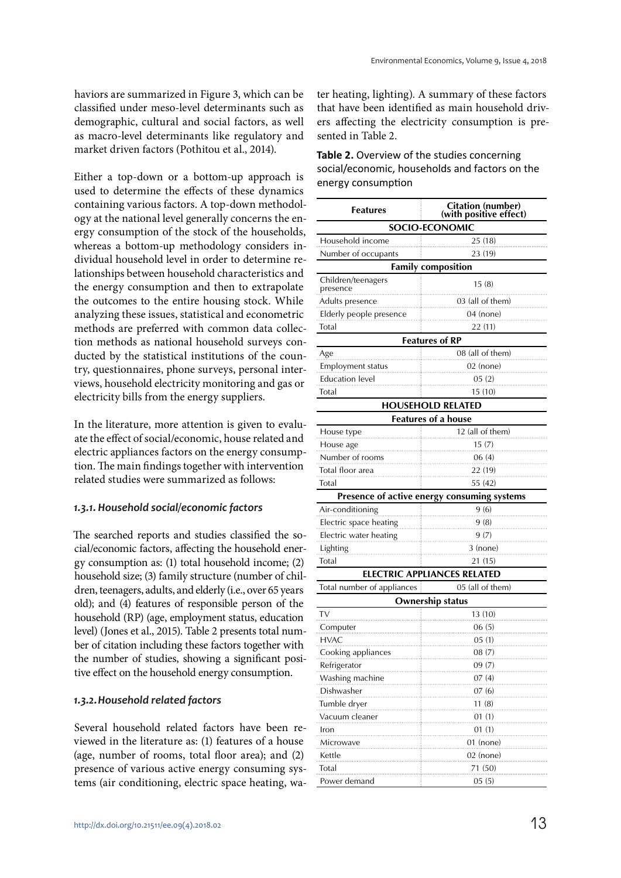haviors are summarized in Figure 3, which can be classified under meso-level determinants such as demographic, cultural and social factors, as well as macro-level determinants like regulatory and market driven factors (Pothitou et al., 2014).

Either a top-down or a bottom-up approach is used to determine the effects of these dynamics containing various factors. A top-down methodology at the national level generally concerns the energy consumption of the stock of the households, whereas a bottom-up methodology considers individual household level in order to determine relationships between household characteristics and the energy consumption and then to extrapolate the outcomes to the entire housing stock. While analyzing these issues, statistical and econometric methods are preferred with common data collection methods as national household surveys conducted by the statistical institutions of the country, questionnaires, phone surveys, personal interviews, household electricity monitoring and gas or electricity bills from the energy suppliers.

In the literature, more attention is given to evaluate the effect of social/economic, house related and electric appliances factors on the energy consumption. The main findings together with intervention related studies were summarized as follows:

#### *1.3.1. Household social/economic factors*

The searched reports and studies classified the social/economic factors, affecting the household energy consumption as: (1) total household income; (2) household size; (3) family structure (number of children, teenagers, adults, and elderly (i.e., over 65 years old); and (4) features of responsible person of the household (RP) (age, employment status, education level) (Jones et al., 2015). Table 2 presents total number of citation including these factors together with the number of studies, showing a significant positive effect on the household energy consumption.

#### *1.3.2. Household related factors*

Several household related factors have been reviewed in the literature as: (1) features of a house (age, number of rooms, total floor area); and (2) presence of various active energy consuming systems (air conditioning, electric space heating, water heating, lighting). A summary of these factors that have been identified as main household drivers affecting the electricity consumption is presented in Table 2.

**Table 2.** Overview of the studies concerning social/economic, households and factors on the energy consumption

| <b>Features</b>                | <b>Citation (number)</b><br>(with positive effect) |  |  |
|--------------------------------|----------------------------------------------------|--|--|
| <b>SOCIO-ECONOMIC</b>          |                                                    |  |  |
| Household income               | 25 (18)                                            |  |  |
| Number of occupants            | 23 (19)                                            |  |  |
|                                | <b>Family composition</b>                          |  |  |
| Children/teenagers<br>presence | 15(8)                                              |  |  |
| Adults presence                | 03 (all of them)                                   |  |  |
| Elderly people presence        | 04 (none)                                          |  |  |
| Total                          | 22 (11)                                            |  |  |
|                                | <b>Features of RP</b>                              |  |  |
| Age                            | 08 (all of them)                                   |  |  |
| <b>Employment status</b>       | $02$ (none)                                        |  |  |
| <b>Education level</b>         | 05(2)                                              |  |  |
| Total                          | 15(10)                                             |  |  |
|                                | <b>HOUSEHOLD RELATED</b>                           |  |  |
|                                | <b>Features of a house</b>                         |  |  |
| House type                     | 12 (all of them)                                   |  |  |
| House age                      | 15(7)                                              |  |  |
| Number of rooms                | 06(4)                                              |  |  |
| Total floor area               | 22 (19)                                            |  |  |
| Total<br>55 (42)               |                                                    |  |  |
|                                | Presence of active energy consuming systems        |  |  |
| Air-conditioning               | 9(6)                                               |  |  |
| Electric space heating<br>9(8) |                                                    |  |  |
| Electric water heating<br>9(7) |                                                    |  |  |
| 3 (none)<br>Lighting           |                                                    |  |  |
| Total<br>21 (15)               |                                                    |  |  |
|                                | <b>ELECTRIC APPLIANCES RELATED</b>                 |  |  |
| Total number of appliances     | 05 (all of them)                                   |  |  |
|                                | Ownership status                                   |  |  |
| TV                             | 13(10)                                             |  |  |
| Computer                       | 06(5)                                              |  |  |
| HVAC                           | 05 (1)                                             |  |  |
| Cooking appliances<br>08(7)    |                                                    |  |  |
| Refrigerator                   | 09(7)                                              |  |  |
| Washing machine                | 07 (4)                                             |  |  |
| Dishwasher                     | 07(6)                                              |  |  |
| Tumble dryer<br>11(8)          |                                                    |  |  |
| Vacuum cleaner                 | 01(1)                                              |  |  |
| Iron                           | 01(1)                                              |  |  |
| Microwave                      | 01 (none)                                          |  |  |
| Kettle                         | 02 (none)                                          |  |  |
| Total                          | 71 (50)                                            |  |  |
| Power demand                   | 05 (5)                                             |  |  |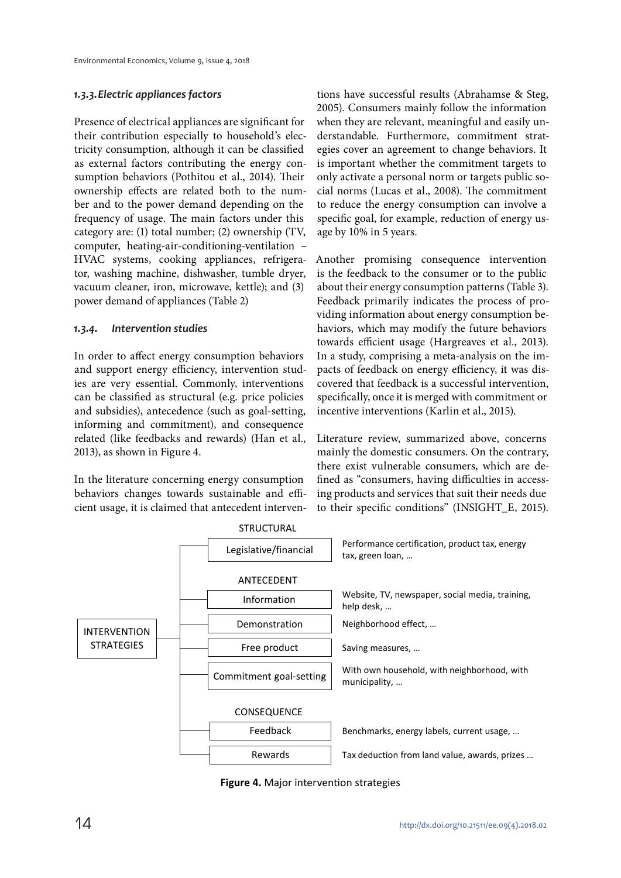#### *1.3.3. Electric appliances factors*

Presence of electrical appliances are significant for their contribution especially to household's electricity consumption, although it can be classified as external factors contributing the energy consumption behaviors (Pothitou et al., 2014). Their ownership effects are related both to the number and to the power demand depending on the frequency of usage. The main factors under this category are: (1) total number; (2) ownership (TV, computer, heating-air-conditioning-ventilation – HVAC systems, cooking appliances, refrigerator, washing machine, dishwasher, tumble dryer, vacuum cleaner, iron, microwave, kettle); and (3) power demand of appliances (Table 2)

#### *1.3.4. Intervention studies*

In order to affect energy consumption behaviors and support energy efficiency, intervention studies are very essential. Commonly, interventions can be classified as structural (e.g. price policies and subsidies), antecedence (such as goal-setting, informing and commitment), and consequence related (like feedbacks and rewards) (Han et al., 2013), as shown in Figure 4.

In the literature concerning energy consumption behaviors changes towards sustainable and efficient usage, it is claimed that antecedent interventions have successful results (Abrahamse & Steg, 2005). Consumers mainly follow the information when they are relevant, meaningful and easily understandable. Furthermore, commitment strategies cover an agreement to change behaviors. It is important whether the commitment targets to only activate a personal norm or targets public social norms (Lucas et al., 2008). The commitment to reduce the energy consumption can involve a specific goal, for example, reduction of energy usage by 10% in 5 years.

Another promising consequence intervention is the feedback to the consumer or to the public about their energy consumption patterns (Table 3). Feedback primarily indicates the process of providing information about energy consumption behaviors, which may modify the future behaviors towards efficient usage (Hargreaves et al., 2013). In a study, comprising a meta-analysis on the impacts of feedback on energy efficiency, it was discovered that feedback is a successful intervention, specifically, once it is merged with commitment or incentive interventions (Karlin et al., 2015).

Literature review, summarized above, concerns mainly the domestic consumers. On the contrary, there exist vulnerable consumers, which are defined as "consumers, having difficulties in accessing products and services that suit their needs due to their specific conditions" (INSIGHT\_E, 2015).



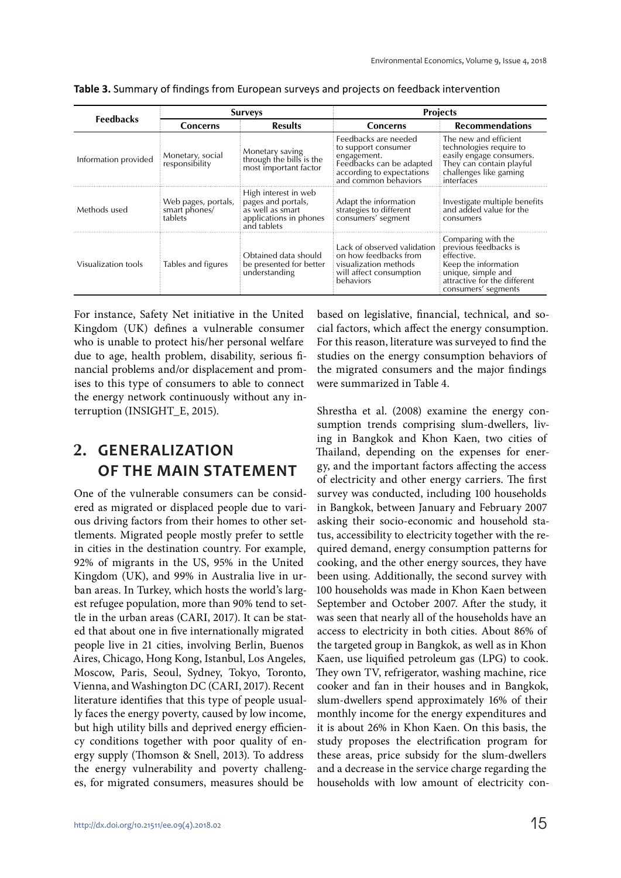| <b>Feedbacks</b>     | <b>Surveys</b>                                  |                                                                                                         | <b>Projects</b>                                                                                                                             |                                                                                                                                                                |
|----------------------|-------------------------------------------------|---------------------------------------------------------------------------------------------------------|---------------------------------------------------------------------------------------------------------------------------------------------|----------------------------------------------------------------------------------------------------------------------------------------------------------------|
|                      | <b>Concerns</b>                                 | <b>Results</b>                                                                                          | <b>Concerns</b>                                                                                                                             | <b>Recommendations</b>                                                                                                                                         |
| Information provided | Monetary, social<br>responsibility              | Monetary saving<br>through the bills is the<br>most important factor                                    | Feedbacks are needed<br>to support consumer<br>engagement.<br>Feedbacks can be adapted<br>according to expectations<br>and common behaviors | The new and efficient<br>technologies require to<br>easily engage consumers.<br>They can contain playful<br>challenges like gaming<br>interfaces               |
| Methods used         | Web pages, portals,<br>smart phones/<br>tablets | High interest in web<br>pages and portals,<br>as well as smart<br>applications in phones<br>and tablets | Adapt the information<br>strategies to different<br>consumers' segment                                                                      | Investigate multiple benefits<br>and added value for the<br>consumers                                                                                          |
| Visualization tools  | Tables and figures                              | Obtained data should<br>be presented for better<br>understanding                                        | Lack of observed validation<br>on how feedbacks from<br>visualization methods<br>will affect consumption<br>behaviors                       | Comparing with the<br>previous feedbacks is<br>effective.<br>Keep the information<br>unique, simple and<br>attractive for the different<br>consumers' segments |

**Table 3.** Summary of findings from European surveys and projects on feedback intervention

For instance, Safety Net initiative in the United Kingdom (UK) defines a vulnerable consumer who is unable to protect his/her personal welfare due to age, health problem, disability, serious financial problems and/or displacement and promises to this type of consumers to able to connect the energy network continuously without any interruption (INSIGHT\_E, 2015).

# **2. GENERALIZATION OF THE MAIN STATEMENT**

One of the vulnerable consumers can be considered as migrated or displaced people due to various driving factors from their homes to other settlements. Migrated people mostly prefer to settle in cities in the destination country. For example, 92% of migrants in the US, 95% in the United Kingdom (UK), and 99% in Australia live in urban areas. In Turkey, which hosts the world's largest refugee population, more than 90% tend to settle in the urban areas (CARI, 2017). It can be stated that about one in five internationally migrated people live in 21 cities, involving Berlin, Buenos Aires, Chicago, Hong Kong, Istanbul, Los Angeles, Moscow, Paris, Seoul, Sydney, Tokyo, Toronto, Vienna, and Washington DC (CARI, 2017). Recent literature identifies that this type of people usually faces the energy poverty, caused by low income, but high utility bills and deprived energy efficiency conditions together with poor quality of energy supply (Thomson & Snell, 2013). To address the energy vulnerability and poverty challenges, for migrated consumers, measures should be

based on legislative, financial, technical, and social factors, which affect the energy consumption. For this reason, literature was surveyed to find the studies on the energy consumption behaviors of the migrated consumers and the major findings were summarized in Table 4.

Shrestha et al. (2008) examine the energy consumption trends comprising slum-dwellers, living in Bangkok and Khon Kaen, two cities of Thailand, depending on the expenses for energy, and the important factors affecting the access of electricity and other energy carriers. The first survey was conducted, including 100 households in Bangkok, between January and February 2007 asking their socio-economic and household status, accessibility to electricity together with the required demand, energy consumption patterns for cooking, and the other energy sources, they have been using. Additionally, the second survey with 100 households was made in Khon Kaen between September and October 2007. After the study, it was seen that nearly all of the households have an access to electricity in both cities. About 86% of the targeted group in Bangkok, as well as in Khon Kaen, use liquified petroleum gas (LPG) to cook. They own TV, refrigerator, washing machine, rice cooker and fan in their houses and in Bangkok, slum-dwellers spend approximately 16% of their monthly income for the energy expenditures and it is about 26% in Khon Kaen. On this basis, the study proposes the electrification program for these areas, price subsidy for the slum-dwellers and a decrease in the service charge regarding the households with low amount of electricity con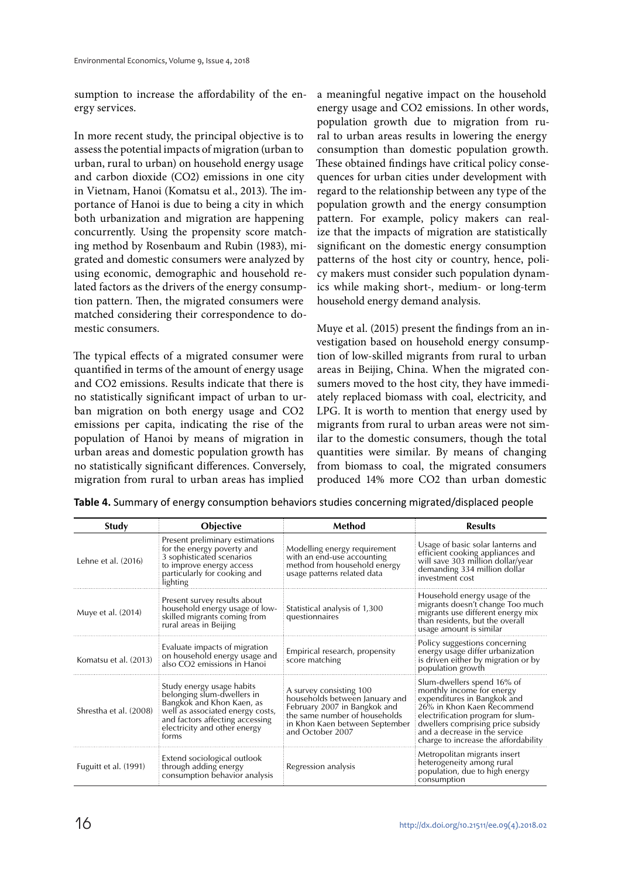sumption to increase the affordability of the energy services.

In more recent study, the principal objective is to assess the potential impacts of migration (urban to urban, rural to urban) on household energy usage and carbon dioxide (CO2) emissions in one city in Vietnam, Hanoi (Komatsu et al., 2013). The importance of Hanoi is due to being a city in which both urbanization and migration are happening concurrently. Using the propensity score matching method by Rosenbaum and Rubin (1983), migrated and domestic consumers were analyzed by using economic, demographic and household related factors as the drivers of the energy consumption pattern. Then, the migrated consumers were matched considering their correspondence to domestic consumers.

The typical effects of a migrated consumer were quantified in terms of the amount of energy usage and CO2 emissions. Results indicate that there is no statistically significant impact of urban to urban migration on both energy usage and CO2 emissions per capita, indicating the rise of the population of Hanoi by means of migration in urban areas and domestic population growth has no statistically significant differences. Conversely, migration from rural to urban areas has implied

a meaningful negative impact on the household energy usage and CO2 emissions. In other words, population growth due to migration from rural to urban areas results in lowering the energy consumption than domestic population growth. These obtained findings have critical policy consequences for urban cities under development with regard to the relationship between any type of the population growth and the energy consumption pattern. For example, policy makers can realize that the impacts of migration are statistically significant on the domestic energy consumption patterns of the host city or country, hence, policy makers must consider such population dynamics while making short-, medium- or long-term household energy demand analysis.

Muye et al. (2015) present the findings from an investigation based on household energy consumption of low-skilled migrants from rural to urban areas in Beijing, China. When the migrated consumers moved to the host city, they have immediately replaced biomass with coal, electricity, and LPG. It is worth to mention that energy used by migrants from rural to urban areas were not similar to the domestic consumers, though the total quantities were similar. By means of changing from biomass to coal, the migrated consumers produced 14% more CO2 than urban domestic

| Study                  | <b>Objective</b>                                                                                                                                                                                     | Method                                                                                                                                                                           | <b>Results</b>                                                                                                                                                                                                                                                          |
|------------------------|------------------------------------------------------------------------------------------------------------------------------------------------------------------------------------------------------|----------------------------------------------------------------------------------------------------------------------------------------------------------------------------------|-------------------------------------------------------------------------------------------------------------------------------------------------------------------------------------------------------------------------------------------------------------------------|
| Lehne et al. (2016)    | Present preliminary estimations<br>for the energy poverty and<br>3 sophisticated scenarios<br>to improve energy access<br>particularly for cooking and<br>lighting                                   | Modelling energy requirement<br>with an end-use accounting<br>method from household energy<br>usage patterns related data                                                        | Usage of basic solar lanterns and<br>efficient cooking appliances and<br>will save 303 million dollar/year<br>demanding 334 million dollar<br>investment cost                                                                                                           |
| Muye et al. (2014)     | Present survey results about<br>household energy usage of low-<br>skilled migrants coming from<br>rural areas in Beijing                                                                             | Statistical analysis of 1,300<br>questionnaires                                                                                                                                  | Household energy usage of the<br>migrants doesn't change Too much<br>migrants use different energy mix<br>than residents, but the overall<br>usage amount is similar                                                                                                    |
| Komatsu et al. (2013)  | Evaluate impacts of migration<br>on household energy usage and<br>also CO2 emissions in Hanoi                                                                                                        | Empirical research, propensity<br>score matching                                                                                                                                 | Policy suggestions concerning<br>energy usage differ urbanization<br>is driven either by migration or by<br>population growth                                                                                                                                           |
| Shrestha et al. (2008) | Study energy usage habits<br>belonging slum-dwellers in<br>Bangkok and Khon Kaen, as<br>well as associated energy costs,<br>and factors affecting accessing<br>electricity and other energy<br>torms | A survey consisting 100<br>households between January and<br>February 2007 in Bangkok and<br>the same number of households<br>in Khon Kaen between September<br>and October 2007 | Slum-dwellers spend 16% of<br>monthly income for energy<br>expenditures in Bangkok and<br>26% in Khon Kaen Recommend<br>electrification program for slum-<br>dwellers comprising price subsidy<br>and a decrease in the service<br>charge to increase the affordability |
| Fuguitt et al. (1991)  | Extend sociological outlook<br>through adding energy<br>consumption behavior analysis                                                                                                                | Regression analysis                                                                                                                                                              | Metropolitan migrants insert<br>heterogeneity among rural<br>population, due to high energy<br>consumption                                                                                                                                                              |

**Table 4.** Summary of energy consumption behaviors studies concerning migrated/displaced people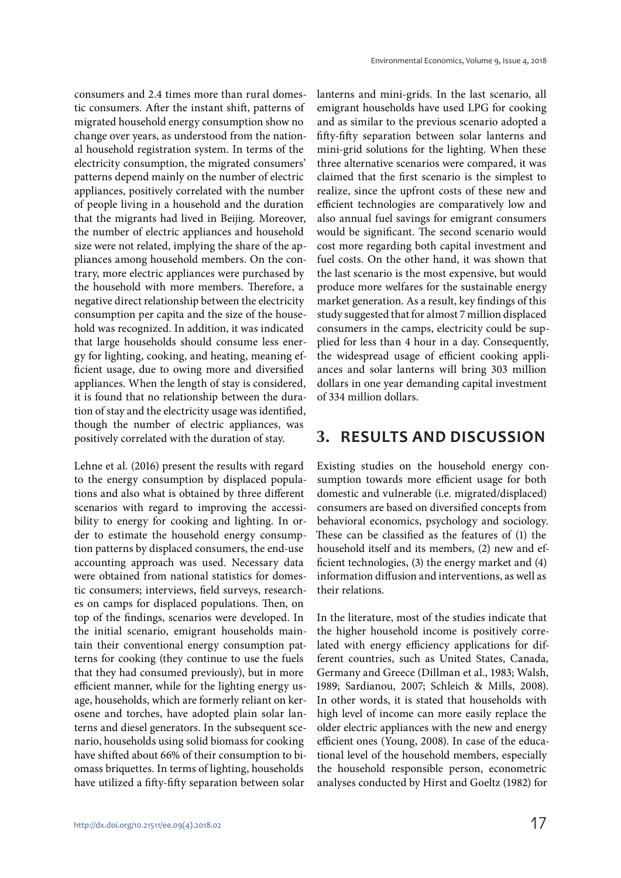consumers and 2.4 times more than rural domestic consumers. After the instant shift, patterns of migrated household energy consumption show no change over years, as understood from the national household registration system. In terms of the electricity consumption, the migrated consumers' patterns depend mainly on the number of electric appliances, positively correlated with the number of people living in a household and the duration that the migrants had lived in Beijing. Moreover, the number of electric appliances and household size were not related, implying the share of the appliances among household members. On the contrary, more electric appliances were purchased by the household with more members. Therefore, a negative direct relationship between the electricity consumption per capita and the size of the household was recognized. In addition, it was indicated that large households should consume less energy for lighting, cooking, and heating, meaning efficient usage, due to owing more and diversified appliances. When the length of stay is considered, it is found that no relationship between the duration of stay and the electricity usage was identified, though the number of electric appliances, was positively correlated with the duration of stay.

Lehne et al. (2016) present the results with regard to the energy consumption by displaced populations and also what is obtained by three different scenarios with regard to improving the accessibility to energy for cooking and lighting. In order to estimate the household energy consumption patterns by displaced consumers, the end-use accounting approach was used. Necessary data were obtained from national statistics for domestic consumers; interviews, field surveys, researches on camps for displaced populations. Then, on top of the findings, scenarios were developed. In the initial scenario, emigrant households maintain their conventional energy consumption patterns for cooking (they continue to use the fuels that they had consumed previously), but in more efficient manner, while for the lighting energy usage, households, which are formerly reliant on kerosene and torches, have adopted plain solar lanterns and diesel generators. In the subsequent scenario, households using solid biomass for cooking have shifted about 66% of their consumption to biomass briquettes. In terms of lighting, households have utilized a fifty-fifty separation between solar

lanterns and mini-grids. In the last scenario, all emigrant households have used LPG for cooking and as similar to the previous scenario adopted a fifty-fifty separation between solar lanterns and mini-grid solutions for the lighting. When these three alternative scenarios were compared, it was claimed that the first scenario is the simplest to realize, since the upfront costs of these new and efficient technologies are comparatively low and also annual fuel savings for emigrant consumers would be significant. The second scenario would cost more regarding both capital investment and fuel costs. On the other hand, it was shown that the last scenario is the most expensive, but would produce more welfares for the sustainable energy market generation. As a result, key findings of this study suggested that for almost 7 million displaced consumers in the camps, electricity could be supplied for less than 4 hour in a day. Consequently, the widespread usage of efficient cooking appliances and solar lanterns will bring 303 million dollars in one year demanding capital investment of 334 million dollars.

# **3. RESULTS AND DISCUSSION**

Existing studies on the household energy consumption towards more efficient usage for both domestic and vulnerable (i.e. migrated/displaced) consumers are based on diversified concepts from behavioral economics, psychology and sociology. These can be classified as the features of (1) the household itself and its members, (2) new and efficient technologies, (3) the energy market and (4) information diffusion and interventions, as well as their relations.

In the literature, most of the studies indicate that the higher household income is positively correlated with energy efficiency applications for different countries, such as United States, Canada, Germany and Greece (Dillman et al., 1983; Walsh, 1989; Sardianou, 2007; Schleich & Mills, 2008). In other words, it is stated that households with high level of income can more easily replace the older electric appliances with the new and energy efficient ones (Young, 2008). In case of the educational level of the household members, especially the household responsible person, econometric analyses conducted by Hirst and Goeltz (1982) for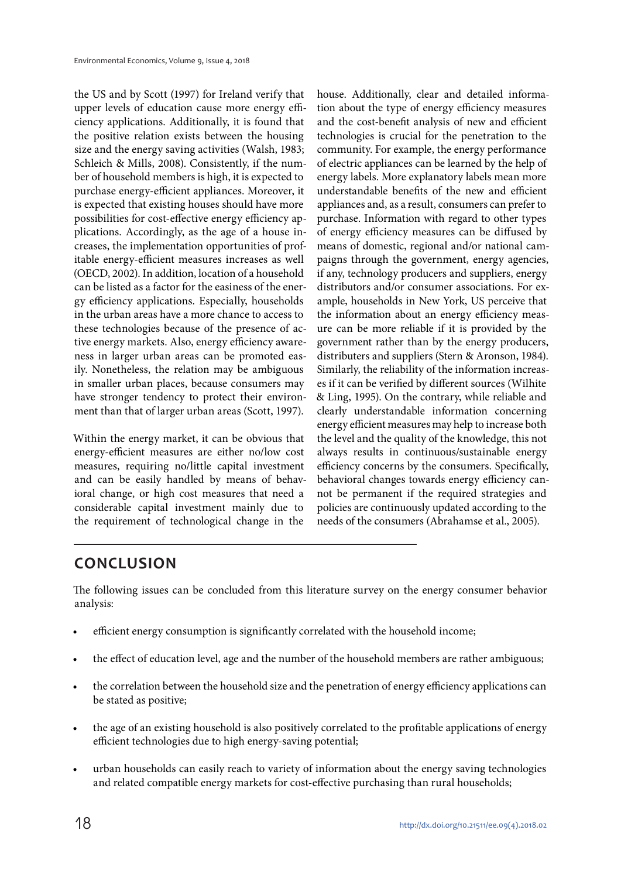the US and by Scott (1997) for Ireland verify that upper levels of education cause more energy efficiency applications. Additionally, it is found that the positive relation exists between the housing size and the energy saving activities (Walsh, 1983; Schleich & Mills, 2008). Consistently, if the number of household members is high, it is expected to purchase energy-efficient appliances. Moreover, it is expected that existing houses should have more possibilities for cost-effective energy efficiency applications. Accordingly, as the age of a house increases, the implementation opportunities of profitable energy-efficient measures increases as well (OECD, 2002). In addition, location of a household can be listed as a factor for the easiness of the energy efficiency applications. Especially, households in the urban areas have a more chance to access to these technologies because of the presence of active energy markets. Also, energy efficiency awareness in larger urban areas can be promoted easily. Nonetheless, the relation may be ambiguous in smaller urban places, because consumers may have stronger tendency to protect their environment than that of larger urban areas (Scott, 1997).

Within the energy market, it can be obvious that energy-efficient measures are either no/low cost measures, requiring no/little capital investment and can be easily handled by means of behavioral change, or high cost measures that need a considerable capital investment mainly due to the requirement of technological change in the

house. Additionally, clear and detailed information about the type of energy efficiency measures and the cost-benefit analysis of new and efficient technologies is crucial for the penetration to the community. For example, the energy performance of electric appliances can be learned by the help of energy labels. More explanatory labels mean more understandable benefits of the new and efficient appliances and, as a result, consumers can prefer to purchase. Information with regard to other types of energy efficiency measures can be diffused by means of domestic, regional and/or national campaigns through the government, energy agencies, if any, technology producers and suppliers, energy distributors and/or consumer associations. For example, households in New York, US perceive that the information about an energy efficiency measure can be more reliable if it is provided by the government rather than by the energy producers, distributers and suppliers (Stern & Aronson, 1984). Similarly, the reliability of the information increases if it can be verified by different sources (Wilhite & Ling, 1995). On the contrary, while reliable and clearly understandable information concerning energy efficient measures may help to increase both the level and the quality of the knowledge, this not always results in continuous/sustainable energy efficiency concerns by the consumers. Specifically, behavioral changes towards energy efficiency cannot be permanent if the required strategies and policies are continuously updated according to the needs of the consumers (Abrahamse et al., 2005).

# **CONCLUSION**

The following issues can be concluded from this literature survey on the energy consumer behavior analysis:

- efficient energy consumption is significantly correlated with the household income;
- the effect of education level, age and the number of the household members are rather ambiguous;
- the correlation between the household size and the penetration of energy efficiency applications can be stated as positive;
- the age of an existing household is also positively correlated to the profitable applications of energy efficient technologies due to high energy-saving potential;
- urban households can easily reach to variety of information about the energy saving technologies and related compatible energy markets for cost-effective purchasing than rural households;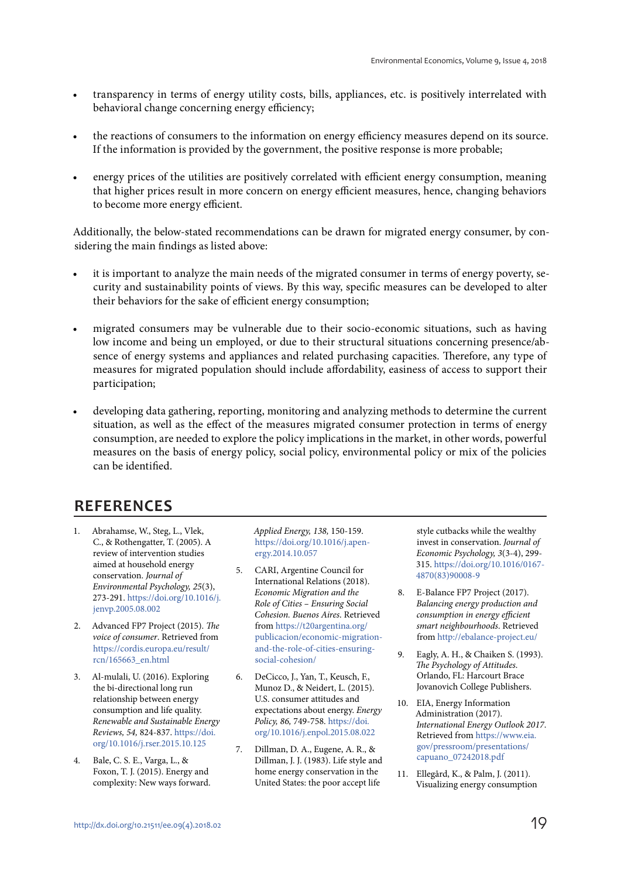- transparency in terms of energy utility costs, bills, appliances, etc. is positively interrelated with behavioral change concerning energy efficiency;
- the reactions of consumers to the information on energy efficiency measures depend on its source. If the information is provided by the government, the positive response is more probable;
- energy prices of the utilities are positively correlated with efficient energy consumption, meaning that higher prices result in more concern on energy efficient measures, hence, changing behaviors to become more energy efficient.

Additionally, the below-stated recommendations can be drawn for migrated energy consumer, by considering the main findings as listed above:

- it is important to analyze the main needs of the migrated consumer in terms of energy poverty, security and sustainability points of views. By this way, specific measures can be developed to alter their behaviors for the sake of efficient energy consumption;
- migrated consumers may be vulnerable due to their socio-economic situations, such as having low income and being un employed, or due to their structural situations concerning presence/absence of energy systems and appliances and related purchasing capacities. Therefore, any type of measures for migrated population should include affordability, easiness of access to support their participation;
- developing data gathering, reporting, monitoring and analyzing methods to determine the current situation, as well as the effect of the measures migrated consumer protection in terms of energy consumption, are needed to explore the policy implications in the market, in other words, powerful measures on the basis of energy policy, social policy, environmental policy or mix of the policies can be identified.

# **REFERENCES**

- 1. Abrahamse, W., Steg, L., Vlek, C., & Rothengatter, T. (2005). A review of intervention studies aimed at household energy conservation. Journal of Environmental Psychology, 25(3), 273-291. https://doi.org/10.1016/j. jenvp.2005.08.002
- 2. Advanced FP7 Project (2015). The voice of consumer. Retrieved from https://cordis.europa.eu/result/ rcn/165663\_en.html
- 3. Al-mulali, U. (2016). Exploring the bi-directional long run relationship between energy consumption and life quality. Renewable and Sustainable Energy Reviews, 54, 824-837. https://doi. org/10.1016/j.rser.2015.10.125
- 4. Bale, C. S. E., Varga, L., & Foxon, T. J. (2015). Energy and complexity: New ways forward.

Applied Energy, 138, 150-159. https://doi.org/10.1016/j.apenergy.2014.10.057

- 5. CARI, Argentine Council for International Relations (2018). Economic Migration and the Role of Cities – Ensuring Social Cohesion. Buenos Aires. Retrieved from https://t20argentina.org/ publicacion/economic-migrationand-the-role-of-cities-ensuringsocial-cohesion/
- 6. DeCicco, J., Yan, T., Keusch, F., Munoz D., & Neidert, L. (2015). U.S. consumer attitudes and expectations about energy. Energy Policy, 86, 749-758. https://doi. org/10.1016/j.enpol.2015.08.022
- 7. Dillman, D. A., Eugene, A. R., & Dillman, J. J. (1983). Life style and home energy conservation in the United States: the poor accept life

style cutbacks while the wealthy invest in conservation. Journal of Economic Psychology, 3(3-4), 299- 315. https://doi.org/10.1016/0167- 4870(83)90008-9

- 8. E-Balance FP7 Project (2017). Balancing energy production and consumption in energy efficient smart neighbourhoods. Retrieved from http://ebalance-project.eu/
- 9. Eagly, A. H., & Chaiken S. (1993). The Psychology of Attitudes. Orlando, FL: Harcourt Brace Jovanovich College Publishers.
- 10. EIA, Energy Information Administration (2017). International Energy Outlook 2017. Retrieved from https://www.eia. gov/pressroom/presentations/ capuano\_07242018.pdf
- 11. Ellegård, K., & Palm, J. (2011). Visualizing energy consumption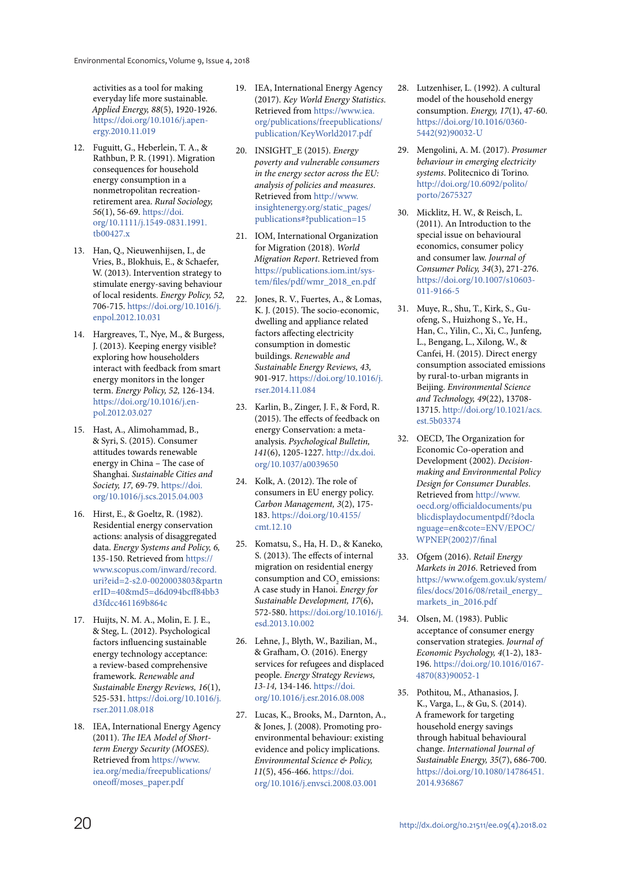activities as a tool for making everyday life more sustainable. Applied Energy, 88(5), 1920-1926. https://doi.org/10.1016/j.apenergy.2010.11.019

- 12. Fuguitt, G., Heberlein, T. A., & Rathbun, P. R. (1991). Migration consequences for household energy consumption in a nonmetropolitan recreationretirement area. Rural Sociology, 56(1), 56-69. https://doi. org/10.1111/j.1549-0831.1991. tb00427.x
- 13. Han, Q., Nieuwenhijsen, I., de Vries, B., Blokhuis, E., & Schaefer, W. (2013). Intervention strategy to stimulate energy-saving behaviour of local residents. Energy Policy, 52, 706-715. https://doi.org/10.1016/j. enpol.2012.10.031
- 14. Hargreaves, T., Nye, M., & Burgess, J. (2013). Keeping energy visible? exploring how householders interact with feedback from smart energy monitors in the longer term. Energy Policy, 52, 126-134. https://doi.org/10.1016/j.enpol.2012.03.027
- 15. Hast, A., Alimohammad, B., & Syri, S. (2015). Consumer attitudes towards renewable energy in China – The case of Shanghai. Sustainable Cities and Society, 17, 69-79. https://doi. org/10.1016/j.scs.2015.04.003
- 16. Hirst, E., & Goeltz, R. (1982). Residential energy conservation actions: analysis of disaggregated data. Energy Systems and Policy, 6, 135-150. Retrieved from https:// www.scopus.com/inward/record. uri?eid=2-s2.0-0020003803&partn erID=40&md5=d6d094bcff84bb3 d3fdcc461169b864c
- 17. Huijts, N. M. A., Molin, E. J. E., & Steg, L. (2012). Psychological factors influencing sustainable energy technology acceptance: a review-based comprehensive framework. Renewable and Sustainable Energy Reviews, 16(1), 525-531. https://doi.org/10.1016/j. rser.2011.08.018
- 18. IEA, International Energy Agency (2011). The IEA Model of Shortterm Energy Security (MOSES). Retrieved from https://www. iea.org/media/freepublications/ oneoff/moses\_paper.pdf
- 19. IEA, International Energy Agency (2017). Key World Energy Statistics. Retrieved from https://www.iea. org/publications/freepublications/ publication/KeyWorld2017.pdf
- 20. INSIGHT\_E (2015). Energy poverty and vulnerable consumers in the energy sector across the EU: analysis of policies and measures. Retrieved from http://www. insightenergy.org/static\_pages/ publications#?publication=15
- 21. IOM, International Organization for Migration (2018). World Migration Report. Retrieved from https://publications.iom.int/system/files/pdf/wmr\_2018\_en.pdf
- 22. Jones, R. V., Fuertes, A., & Lomas, K. J. (2015). The socio-economic, dwelling and appliance related factors affecting electricity consumption in domestic buildings. Renewable and Sustainable Energy Reviews, 43, 901-917. https://doi.org/10.1016/j. rser.2014.11.084
- 23. Karlin, B., Zinger, J. F., & Ford, R. (2015). The effects of feedback on energy Conservation: a metaanalysis. Psychological Bulletin, 141(6), 1205-1227. http://dx.doi. org/10.1037/a0039650
- 24. Kolk, A. (2012). The role of consumers in EU energy policy. Carbon Management, 3(2), 175- 183. https://doi.org/10.4155/ cmt.12.10
- 25. Komatsu, S., Ha, H. D., & Kaneko, S. (2013). The effects of internal migration on residential energy consumption and  $\mathrm{CO}_2$  emissions: A case study in Hanoi. Energy for Sustainable Development, 17(6), 572-580. https://doi.org/10.1016/j. esd.2013.10.002
- 26. Lehne, J., Blyth, W., Bazilian, M., & Grafham, O. (2016). Energy services for refugees and displaced people. Energy Strategy Reviews, 13-14, 134-146. https://doi. org/10.1016/j.esr.2016.08.008
- 27. Lucas, K., Brooks, M., Darnton, A., & Jones, J. (2008). Promoting proenvironmental behaviour: existing evidence and policy implications. Environmental Science & Policy, 11(5), 456-466. https://doi. org/10.1016/j.envsci.2008.03.001
- 28. Lutzenhiser, L. (1992). A cultural model of the household energy consumption. Energy, 17(1), 47-60. https://doi.org/10.1016/0360- 5442(92)90032-U
- 29. Mengolini, A. M. (2017). Prosumer behaviour in emerging electricity systems. Politecnico di Torino. http://doi.org/10.6092/polito/ porto/2675327
- 30. Micklitz, H. W., & Reisch, L. (2011). An Introduction to the special issue on behavioural economics, consumer policy and consumer law. Journal of Consumer Policy, 34(3), 271-276. https://doi.org/10.1007/s10603- 011-9166-5
- 31. Muye, R., Shu, T., Kirk, S., Guofeng, S., Huizhong S., Ye, H., Han, C., Yilin, C., Xi, C., Junfeng, L., Bengang, L., Xilong, W., & Canfei, H. (2015). Direct energy consumption associated emissions by rural-to-urban migrants in Beijing. Environmental Science and Technology, 49(22), 13708- 13715. http://doi.org/10.1021/acs. est.5b03374
- 32. OECD, The Organization for Economic Co-operation and Development (2002). Decisionmaking and Environmental Policy Design for Consumer Durables. Retrieved from http://www. oecd.org/officialdocuments/pu blicdisplaydocumentpdf/?docla nguage=en&cote=ENV/EPOC/ WPNEP(2002)7/final
- 33. Ofgem (2016). Retail Energy Markets in 2016. Retrieved from https://www.ofgem.gov.uk/system/ files/docs/2016/08/retail\_energy\_ markets\_in\_2016.pdf
- 34. Olsen, M. (1983). Public acceptance of consumer energy conservation strategies. Journal of Economic Psychology, 4(1-2), 183- 196. https://doi.org/10.1016/0167- 4870(83)90052-1
- 35. Pothitou, M., Athanasios, J. K., Varga, L., & Gu, S. (2014). A framework for targeting household energy savings through habitual behavioural change. International Journal of Sustainable Energy, 35(7), 686-700. https://doi.org/10.1080/14786451. 2014.936867